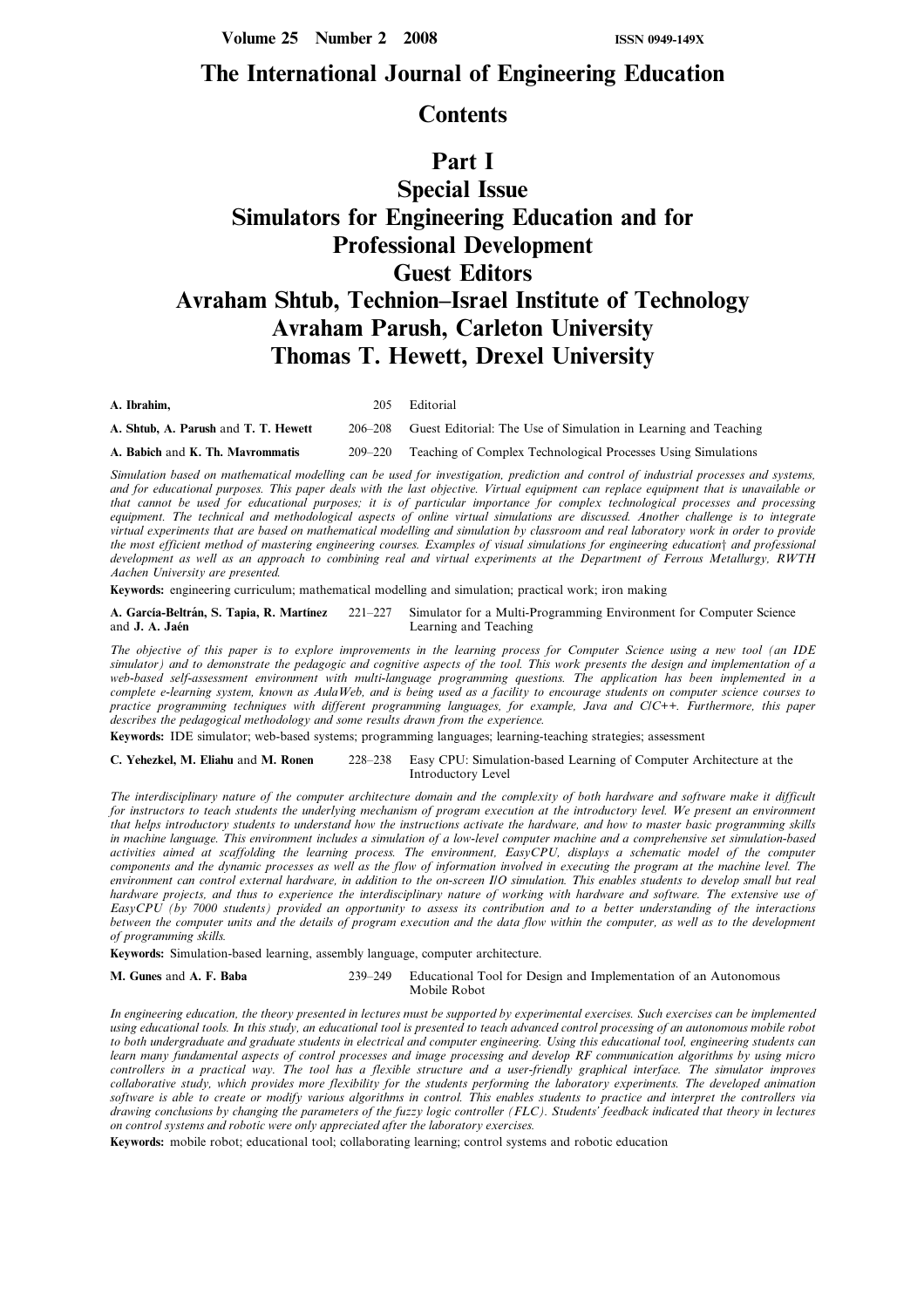Volume 25 Number 2 2008 ISSN 0949-149X

## The International Journal of Engineering Education

## **Contents**

## Part I

# Special Issue Simulators for Engineering Education and for Professional Development Guest Editors Avraham Shtub, Technion-Israel Institute of Technology Avraham Parush, Carleton University Thomas T. Hewett, Drexel University

A. Ibrahim, 205 Editorial A. Shtub, A. Parush and T. T. Hewett 206-208 Guest Editorial: The Use of Simulation in Learning and Teaching A. Babich and K. Th. Mavrommatis 209–220 Teaching of Complex Technological Processes Using Simulations

Simulation based on mathematical modelling can be used for investigation, prediction and control of industrial processes and systems, and for educational purposes. This paper deals with the last objective. Virtual equipment can replace equipment that is unavailable or that cannot be used for educational purposes; it is of particular importance for complex technological processes and processing equipment. The technical and methodological aspects of online virtual simulations are discussed. Another challenge is to integrate virtual experiments that are based on mathematical modelling and simulation by classroom and real laboratory work in order to provide the most efficient method of mastering engineering courses. Examples of visual simulations for engineering educationy and professional development as well as an approach to combining real and virtual experiments at the Department of Ferrous Metallurgy, RWTH Aachen University are presented.

Keywords: engineering curriculum; mathematical modelling and simulation; practical work; iron making

A. García-Beltrán, S. Tapia, R. Martínez 221-227 Simulator for a Multi-Programming Environment for Computer Science and J. A. Jaén Learning and Teaching

The objective of this paper is to explore improvements in the learning process for Computer Science using a new tool (an IDE simulator) and to demonstrate the pedagogic and cognitive aspects of the tool. This work presents the design and implementation of a web-based self-assessment environment with multi-language programming questions. The application has been implemented in a complete e-learning system, known as AulaWeb, and is being used as a facility to encourage students on computer science courses to practice programming techniques with different programming languages, for example, Java and C/C++. Furthermore, this paper describes the pedagogical methodology and some results drawn from the experience.

Keywords: IDE simulator; web-based systems; programming languages; learning-teaching strategies; assessment

C. Yehezkel, M. Eliahu and M. Ronen 228-238 Easy CPU: Simulation-based Learning of Computer Architecture at the Introductory Level

The interdisciplinary nature of the computer architecture domain and the complexity of both hardware and software make it difficult for instructors to teach students the underlying mechanism of program execution at the introductory level. We present an environment that helps introductory students to understand how the instructions activate the hardware, and how to master basic programming skills in machine language. This environment includes a simulation of a low-level computer machine and a comprehensive set simulation-based activities aimed at scaffolding the learning process. The environment, EasyCPU, displays a schematic model of the computer components and the dynamic processes as well as the flow of information involved in executing the program at the machine level. The environment can control external hardware, in addition to the on-screen I/O simulation. This enables students to develop small but real hardware projects, and thus to experience the interdisciplinary nature of working with hardware and software. The extensive use of EasyCPU (by 7000 students) provided an opportunity to assess its contribution and to a better understanding of the interactions between the computer units and the details of program execution and the data flow within the computer, as well as to the development of programming skills.

Keywords: Simulation-based learning, assembly language, computer architecture.

M. Gunes and A. F. Baba 239-249 Educational Tool for Design and Implementation of an Autonomous Mobile Robot

In engineering education, the theory presented in lectures must be supported by experimental exercises. Such exercises can be implemented using educational tools. In this study, an educational tool is presented to teach advanced control processing of an autonomous mobile robot to both undergraduate and graduate students in electrical and computer engineering. Using this educational tool, engineering students can learn many fundamental aspects of control processes and image processing and develop RF communication algorithms by using micro controllers in a practical way. The tool has a flexible structure and a user-friendly graphical interface. The simulator improves collaborative study, which provides more flexibility for the students performing the laboratory experiments. The developed animation software is able to create or modify various algorithms in control. This enables students to practice and interpret the controllers via drawing conclusions by changing the parameters of the fuzzy logic controller (FLC). Students' feedback indicated that theory in lectures on control systems and robotic were only appreciated after the laboratory exercises.

Keywords: mobile robot; educational tool; collaborating learning; control systems and robotic education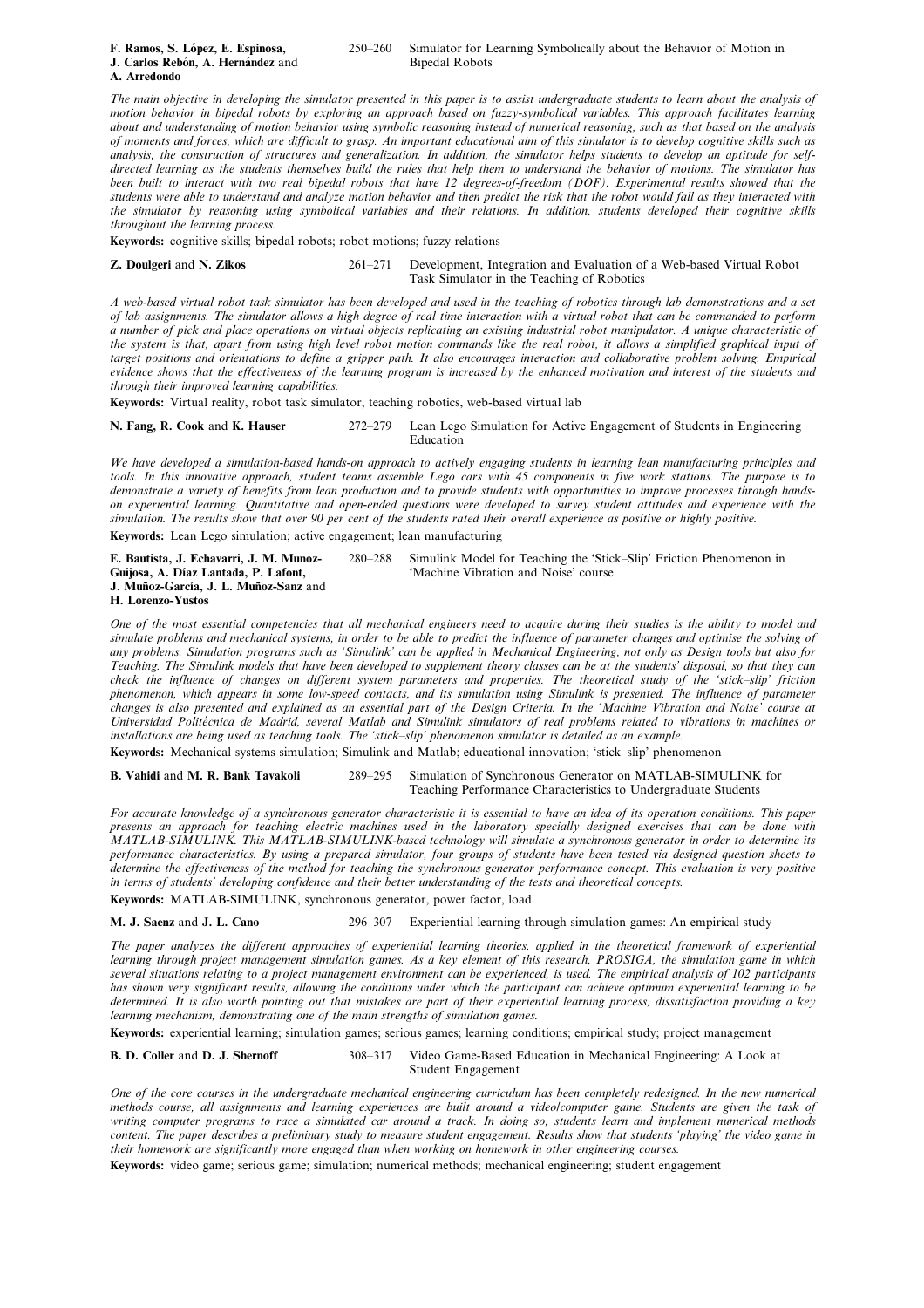| F. Ramos, S. López, E. Espinosa,  |
|-----------------------------------|
| J. Carlos Rebón, A. Hernández and |
| A. Arredondo                      |

### 250–260 Simulator for Learning Symbolically about the Behavior of Motion in Binedal Robots

The main objective in developing the simulator presented in this paper is to assist undergraduate students to learn about the analysis of motion behavior in bipedal robots by exploring an approach based on fuzzy-symbolical variables. This approach facilitates learning about and understanding of motion behavior using symbolic reasoning instead of numerical reasoning, such as that based on the analysis of moments and forces, which are difficult to grasp. An important educational aim of this simulator is to develop cognitive skills such as analysis, the construction of structures and generalization. In addition, the simulator helps students to develop an aptitude for selfdirected learning as the students themselves build the rules that help them to understand the behavior of motions. The simulator has been built to interact with two real bipedal robots that have 12 degrees-of-freedom (DOF). Experimental results showed that the students were able to understand and analyze motion behavior and then predict the risk that the robot would fall as they interacted with the simulator by reasoning using symbolical variables and their relations. In addition, students developed their cognitive skills throughout the learning process.

Keywords: cognitive skills; bipedal robots; robot motions; fuzzy relations

Z. Doulgeri and N. Zikos 261-271 Development, Integration and Evaluation of a Web-based Virtual Robot Task Simulator in the Teaching of Robotics

A web-based virtual robot task simulator has been developed and used in the teaching of robotics through lab demonstrations and a set of lab assignments. The simulator allows a high degree of real time interaction with a virtual robot that can be commanded to perform a number of pick and place operations on virtual objects replicating an existing industrial robot manipulator. A unique characteristic of the system is that, apart from using high level robot motion commands like the real robot, it allows a simplified graphical input of target positions and orientations to define a gripper path. It also encourages interaction and collaborative problem solving. Empirical evidence shows that the effectiveness of the learning program is increased by the enhanced motivation and interest of the students and through their improved learning capabilities.

Keywords: Virtual reality, robot task simulator, teaching robotics, web-based virtual lab

N. Fang, R. Cook and K. Hauser 272-279 Lean Lego Simulation for Active Engagement of Students in Engineering Education

We have developed a simulation-based hands-on approach to actively engaging students in learning lean manufacturing principles and tools. In this innovative approach, student teams assemble Lego cars with 45 components in five work stations. The purpose is to demonstrate a variety of benefits from lean production and to provide students with opportunities to improve processes through handson experiential learning. Quantitative and open-ended questions were developed to survey student attitudes and experience with the simulation. The results show that over 90 per cent of the students rated their overall experience as positive or highly positive.

Keywords: Lean Lego simulation; active engagement; lean manufacturing

| E. Bautista, J. Echavarri, J. M. Munoz- | 280–288 Simulink Model for Teaching the 'Stick-Slip' Friction Phenomenon in |
|-----------------------------------------|-----------------------------------------------------------------------------|
| Guijosa, A. Díaz Lantada, P. Lafont,    | 'Machine Vibration and Noise' course                                        |
| J. Muñoz-García, J. L. Muñoz-Sanz and   |                                                                             |
| H. Lorenzo-Yustos                       |                                                                             |

One of the most essential competencies that all mechanical engineers need to acquire during their studies is the ability to model and simulate problems and mechanical systems, in order to be able to predict the influence of parameter changes and optimise the solving of any problems. Simulation programs such as `Simulink' can be applied in Mechanical Engineering, not only as Design tools but also for Teaching. The Simulink models that have been developed to supplement theory classes can be at the students' disposal, so that they can check the influence of changes on different system parameters and properties. The theoretical study of the 'stick-slip' friction phenomenon, which appears in some low-speed contacts, and its simulation using Simulink is presented. The influence of parameter changes is also presented and explained as an essential part of the Design Criteria. In the `Machine Vibration and Noise' course at Universidad Politécnica de Madrid, several Matlab and Simulink simulators of real problems related to vibrations in machines or installations are being used as teaching tools. The 'stick-slip' phenomenon simulator is detailed as an example.

Keywords: Mechanical systems simulation; Simulink and Matlab; educational innovation; 'stick-slip' phenomenon

B. Vahidi and M. R. Bank Tavakoli 289-295 Simulation of Synchronous Generator on MATLAB-SIMULINK for Teaching Performance Characteristics to Undergraduate Students

For accurate knowledge of a synchronous generator characteristic it is essential to have an idea of its operation conditions. This paper presents an approach for teaching electric machines used in the laboratory specially designed exercises that can be done with MATLAB-SIMULINK. This MATLAB-SIMULINK-based technology will simulate a synchronous generator in order to determine its performance characteristics. By using a prepared simulator, four groups of students have been tested via designed question sheets to determine the effectiveness of the method for teaching the synchronous generator performance concept. This evaluation is very positive in terms of students' developing confidence and their better understanding of the tests and theoretical concepts.

Keywords: MATLAB-SIMULINK, synchronous generator, power factor, load

M. J. Saenz and J. L. Cano 296-307 Experiential learning through simulation games: An empirical study

The paper analyzes the different approaches of experiential learning theories, applied in the theoretical framework of experiential learning through project management simulation games. As a key element of this research, PROSIGA, the simulation game in which several situations relating to a project management environment can be experienced, is used. The empirical analysis of 102 participants has shown very significant results, allowing the conditions under which the participant can achieve optimum experiential learning to be determined. It is also worth pointing out that mistakes are part of their experiential learning process, dissatisfaction providing a key learning mechanism, demonstrating one of the main strengths of simulation games.

Keywords: experiential learning; simulation games; serious games; learning conditions; empirical study; project management

B. D. Coller and D. J. Shernoff 308-317 Video Game-Based Education in Mechanical Engineering: A Look at

Student Engagement

One of the core courses in the undergraduate mechanical engineering curriculum has been completely redesigned. In the new numerical methods course, all assignments and learning experiences are built around a video/computer game. Students are given the task of writing computer programs to race a simulated car around a track. In doing so, students learn and implement numerical methods content. The paper describes a preliminary study to measure student engagement. Results show that students `playing' the video game in their homework are significantly more engaged than when working on homework in other engineering courses.

Keywords: video game; serious game; simulation; numerical methods; mechanical engineering; student engagement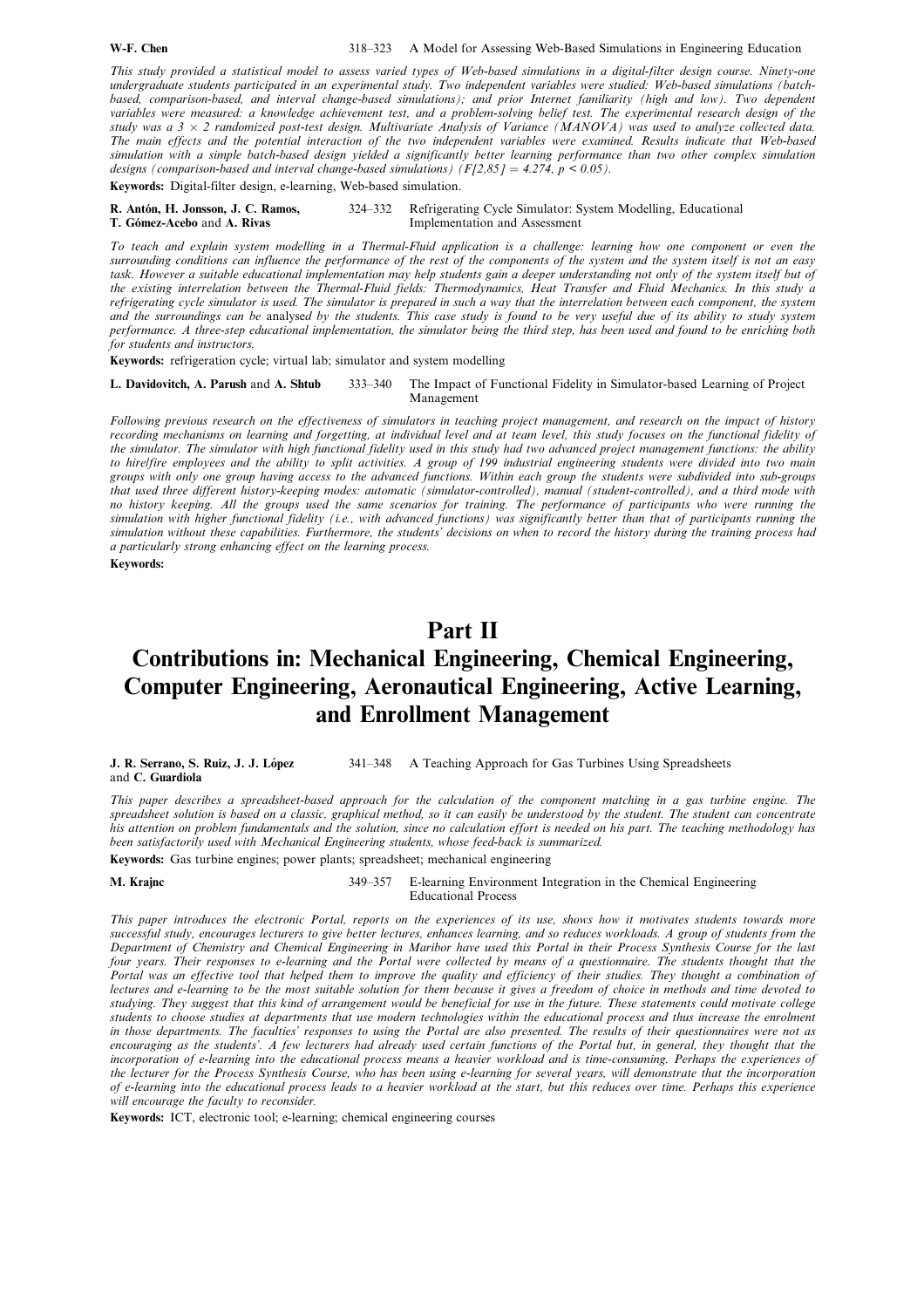This study provided a statistical model to assess varied types of Web-based simulations in a digital-filter design course. Ninety-one undergraduate students participated in an experimental study. Two independent variables were studied: Web-based simulations (batchbased, comparison-based, and interval change-based simulations); and prior Internet familiarity (high and low). Two dependent variables were measured: a knowledge achievement test, and a problem-solving belief test. The experimental research design of the study was a  $3 \times 2$  randomized post-test design. Multivariate Analysis of Variance (MANOVA) was used to analyze collected data. The main effects and the potential interaction of the two independent variables were examined. Results indicate that Web-based simulation with a simple batch-based design yielded a significantly better learning performance than two other complex simulation designs (comparison-based and interval change-based simulations)  $(F/2,85) = 4.274$ ,  $p < 0.05$ ).

Keywords: Digital-filter design, e-learning, Web-based simulation.

R. Antón, H. Jonsson, J. C. Ramos, 324-332 Refrigerating Cycle Simulator: System Modelling, Educational T. Gómez-Acebo and A. Rivas Implementation and Assessment

To teach and explain system modelling in a Thermal-Fluid application is a challenge: learning how one component or even the surrounding conditions can influence the performance of the rest of the components of the system and the system itself is not an easy task. However a suitable educational implementation may help students gain a deeper understanding not only of the system itself but of the existing interrelation between the Thermal-Fluid fields: Thermodynamics, Heat Transfer and Fluid Mechanics. In this study a refrigerating cycle simulator is used. The simulator is prepared in such a way that the interrelation between each component, the system and the surroundings can be analysed by the students. This case study is found to be very useful due of its ability to study system performance. A three-step educational implementation, the simulator being the third step, has been used and found to be enriching both for students and instructors.

Keywords: refrigeration cycle; virtual lab; simulator and system modelling

L. Davidovitch, A. Parush and A. Shtub 333-340 The Impact of Functional Fidelity in Simulator-based Learning of Project Management

Following previous research on the effectiveness of simulators in teaching project management, and research on the impact of history recording mechanisms on learning and forgetting, at individual level and at team level, this study focuses on the functional fidelity of the simulator. The simulator with high functional fidelity used in this study had two advanced project management functions: the ability to hire/fire employees and the ability to split activities. A group of 199 industrial engineering students were divided into two main groups with only one group having access to the advanced functions. Within each group the students were subdivided into sub-groups that used three different history-keeping modes: automatic (simulator-controlled), manual (student-controlled), and a third mode with no history keeping. All the groups used the same scenarios for training. The performance of participants who were running the simulation with higher functional fidelity (i.e., with advanced functions) was significantly better than that of participants running the simulation without these capabilities. Furthermore, the students' decisions on when to record the history during the training process had a particularly strong enhancing effect on the learning process.

#### Keywords:

## Part II

# Contributions in: Mechanical Engineering, Chemical Engineering, Computer Engineering, Aeronautical Engineering, Active Learning, and Enrollment Management

| J. R. Serrano, S. Ruiz, J. J. López | 341–348 • A Teaching Approach for Gas Turbines Using Spreadsheets |
|-------------------------------------|-------------------------------------------------------------------|
| and C. Guardiola                    |                                                                   |

This paper describes a spreadsheet-based approach for the calculation of the component matching in a gas turbine engine. The spreadsheet solution is based on a classic, graphical method, so it can easily be understood by the student. The student can concentrate his attention on problem fundamentals and the solution, since no calculation effort is needed on his part. The teaching methodology has been satisfactorily used with Mechanical Engineering students, whose feed-back is summarized.

Keywords: Gas turbine engines; power plants; spreadsheet; mechanical engineering

M. Krainc 349-357 E-learning Environment Integration in the Chemical Engineering Educational Process

This paper introduces the electronic Portal, reports on the experiences of its use, shows how it motivates students towards more successful study, encourages lecturers to give better lectures, enhances learning, and so reduces workloads. A group of students from the Department of Chemistry and Chemical Engineering in Maribor have used this Portal in their Process Synthesis Course for the last four years. Their responses to e-learning and the Portal were collected by means of a questionnaire. The students thought that the Portal was an effective tool that helped them to improve the quality and efficiency of their studies. They thought a combination of lectures and e-learning to be the most suitable solution for them because it gives a freedom of choice in methods and time devoted to studying. They suggest that this kind of arrangement would be beneficial for use in the future. These statements could motivate college students to choose studies at departments that use modern technologies within the educational process and thus increase the enrolment in those departments. The faculties' responses to using the Portal are also presented. The results of their questionnaires were not as encouraging as the students'. A few lecturers had already used certain functions of the Portal but, in general, they thought that the incorporation of e-learning into the educational process means a heavier workload and is time-consuming. Perhaps the experiences of the lecturer for the Process Synthesis Course, who has been using e-learning for several years, will demonstrate that the incorporation of e-learning into the educational process leads to a heavier workload at the start, but this reduces over time. Perhaps this experience will encourage the faculty to reconsider.

Keywords: ICT, electronic tool; e-learning; chemical engineering courses